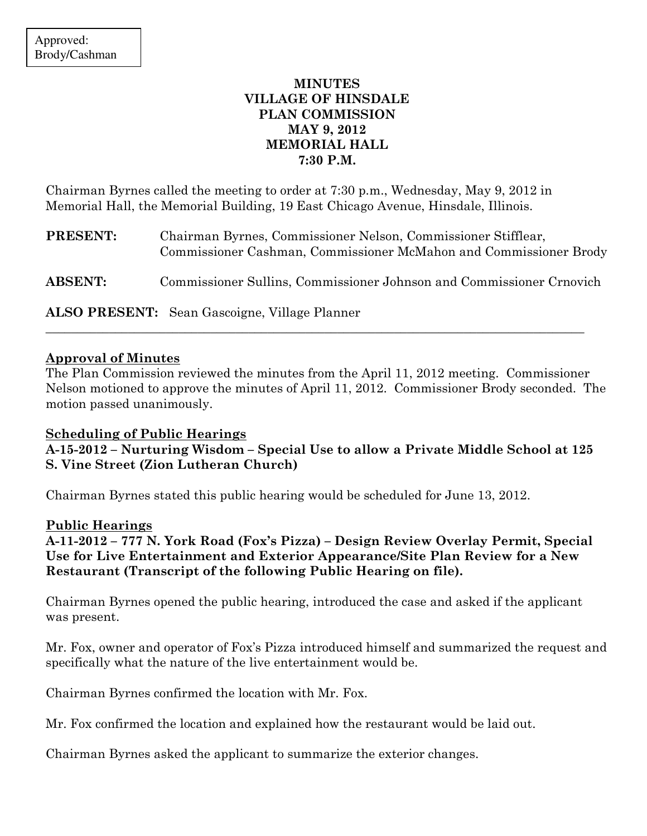# MINUTES VILLAGE OF HINSDALE PLAN COMMISSION MAY 9, 2012 MEMORIAL HALL 7:30 P.M.

Chairman Byrnes called the meeting to order at 7:30 p.m., Wednesday, May 9, 2012 in Memorial Hall, the Memorial Building, 19 East Chicago Avenue, Hinsdale, Illinois.

| <b>PRESENT:</b> | Chairman Byrnes, Commissioner Nelson, Commissioner Stifflear,<br>Commissioner Cashman, Commissioner McMahon and Commissioner Brody |
|-----------------|------------------------------------------------------------------------------------------------------------------------------------|
| <b>ABSENT:</b>  | Commissioner Sullins, Commissioner Johnson and Commissioner Crnovich                                                               |
|                 | <b>ALSO PRESENT:</b> Sean Gascoigne, Village Planner                                                                               |

\_\_\_\_\_\_\_\_\_\_\_\_\_\_\_\_\_\_\_\_\_\_\_\_\_\_\_\_\_\_\_\_\_\_\_\_\_\_\_\_\_\_\_\_\_\_\_\_\_\_\_\_\_\_\_\_\_\_\_\_\_\_\_\_\_\_\_\_\_\_\_\_\_\_\_\_\_\_\_\_\_\_\_\_\_

### Approval of Minutes

The Plan Commission reviewed the minutes from the April 11, 2012 meeting. Commissioner Nelson motioned to approve the minutes of April 11, 2012. Commissioner Brody seconded. The motion passed unanimously.

## Scheduling of Public Hearings

A-15-2012 – Nurturing Wisdom – Special Use to allow a Private Middle School at 125 S. Vine Street (Zion Lutheran Church)

Chairman Byrnes stated this public hearing would be scheduled for June 13, 2012.

### Public Hearings

A-11-2012 – 777 N. York Road (Fox's Pizza) – Design Review Overlay Permit, Special Use for Live Entertainment and Exterior Appearance/Site Plan Review for a New Restaurant (Transcript of the following Public Hearing on file).

Chairman Byrnes opened the public hearing, introduced the case and asked if the applicant was present.

Mr. Fox, owner and operator of Fox's Pizza introduced himself and summarized the request and specifically what the nature of the live entertainment would be.

Chairman Byrnes confirmed the location with Mr. Fox.

Mr. Fox confirmed the location and explained how the restaurant would be laid out.

Chairman Byrnes asked the applicant to summarize the exterior changes.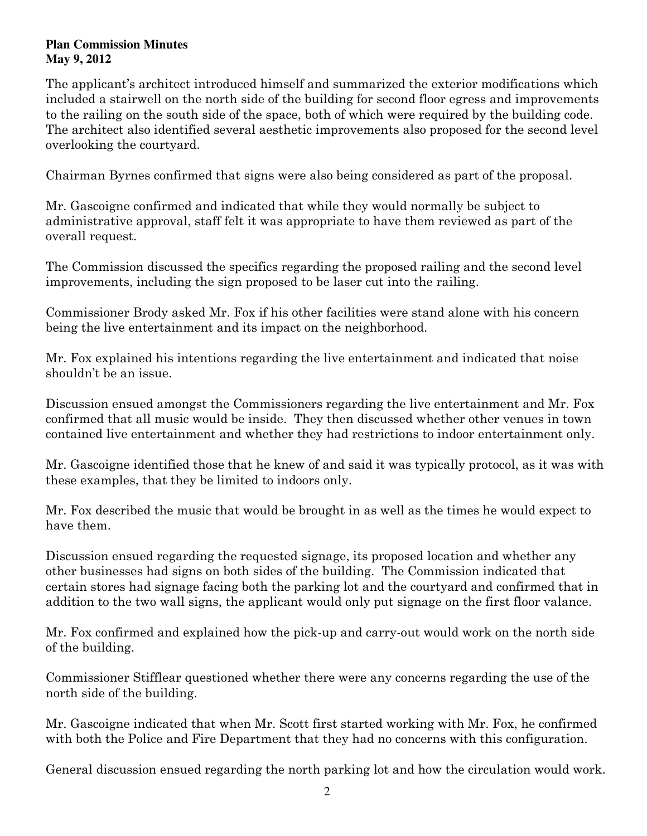The applicant's architect introduced himself and summarized the exterior modifications which included a stairwell on the north side of the building for second floor egress and improvements to the railing on the south side of the space, both of which were required by the building code. The architect also identified several aesthetic improvements also proposed for the second level overlooking the courtyard.

Chairman Byrnes confirmed that signs were also being considered as part of the proposal.

Mr. Gascoigne confirmed and indicated that while they would normally be subject to administrative approval, staff felt it was appropriate to have them reviewed as part of the overall request.

The Commission discussed the specifics regarding the proposed railing and the second level improvements, including the sign proposed to be laser cut into the railing.

Commissioner Brody asked Mr. Fox if his other facilities were stand alone with his concern being the live entertainment and its impact on the neighborhood.

Mr. Fox explained his intentions regarding the live entertainment and indicated that noise shouldn't be an issue.

Discussion ensued amongst the Commissioners regarding the live entertainment and Mr. Fox confirmed that all music would be inside. They then discussed whether other venues in town contained live entertainment and whether they had restrictions to indoor entertainment only.

Mr. Gascoigne identified those that he knew of and said it was typically protocol, as it was with these examples, that they be limited to indoors only.

Mr. Fox described the music that would be brought in as well as the times he would expect to have them.

Discussion ensued regarding the requested signage, its proposed location and whether any other businesses had signs on both sides of the building. The Commission indicated that certain stores had signage facing both the parking lot and the courtyard and confirmed that in addition to the two wall signs, the applicant would only put signage on the first floor valance.

Mr. Fox confirmed and explained how the pick-up and carry-out would work on the north side of the building.

Commissioner Stifflear questioned whether there were any concerns regarding the use of the north side of the building.

Mr. Gascoigne indicated that when Mr. Scott first started working with Mr. Fox, he confirmed with both the Police and Fire Department that they had no concerns with this configuration.

General discussion ensued regarding the north parking lot and how the circulation would work.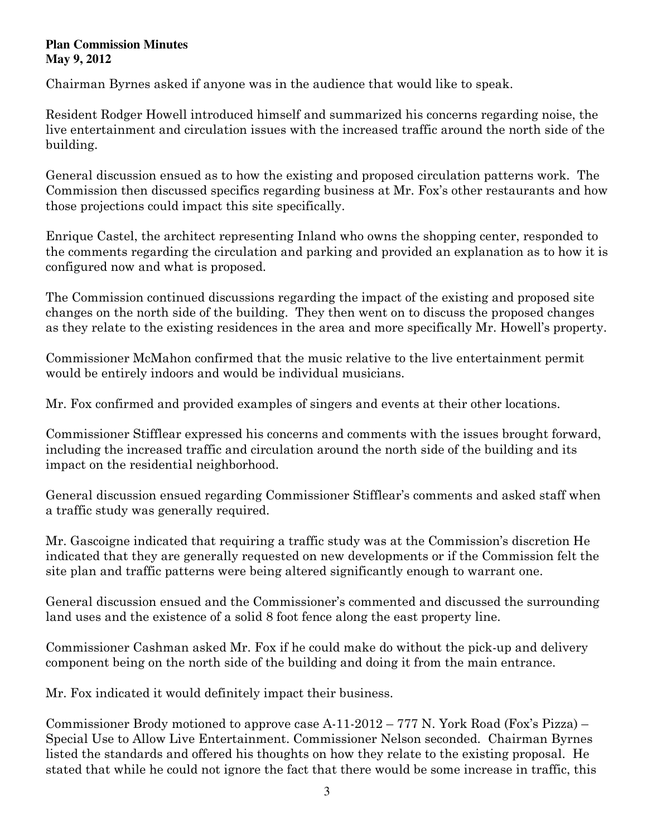Chairman Byrnes asked if anyone was in the audience that would like to speak.

Resident Rodger Howell introduced himself and summarized his concerns regarding noise, the live entertainment and circulation issues with the increased traffic around the north side of the building.

General discussion ensued as to how the existing and proposed circulation patterns work. The Commission then discussed specifics regarding business at Mr. Fox's other restaurants and how those projections could impact this site specifically.

Enrique Castel, the architect representing Inland who owns the shopping center, responded to the comments regarding the circulation and parking and provided an explanation as to how it is configured now and what is proposed.

The Commission continued discussions regarding the impact of the existing and proposed site changes on the north side of the building. They then went on to discuss the proposed changes as they relate to the existing residences in the area and more specifically Mr. Howell's property.

Commissioner McMahon confirmed that the music relative to the live entertainment permit would be entirely indoors and would be individual musicians.

Mr. Fox confirmed and provided examples of singers and events at their other locations.

Commissioner Stifflear expressed his concerns and comments with the issues brought forward, including the increased traffic and circulation around the north side of the building and its impact on the residential neighborhood.

General discussion ensued regarding Commissioner Stifflear's comments and asked staff when a traffic study was generally required.

Mr. Gascoigne indicated that requiring a traffic study was at the Commission's discretion He indicated that they are generally requested on new developments or if the Commission felt the site plan and traffic patterns were being altered significantly enough to warrant one.

General discussion ensued and the Commissioner's commented and discussed the surrounding land uses and the existence of a solid 8 foot fence along the east property line.

Commissioner Cashman asked Mr. Fox if he could make do without the pick-up and delivery component being on the north side of the building and doing it from the main entrance.

Mr. Fox indicated it would definitely impact their business.

Commissioner Brody motioned to approve case A-11-2012 – 777 N. York Road (Fox's Pizza) – Special Use to Allow Live Entertainment. Commissioner Nelson seconded. Chairman Byrnes listed the standards and offered his thoughts on how they relate to the existing proposal. He stated that while he could not ignore the fact that there would be some increase in traffic, this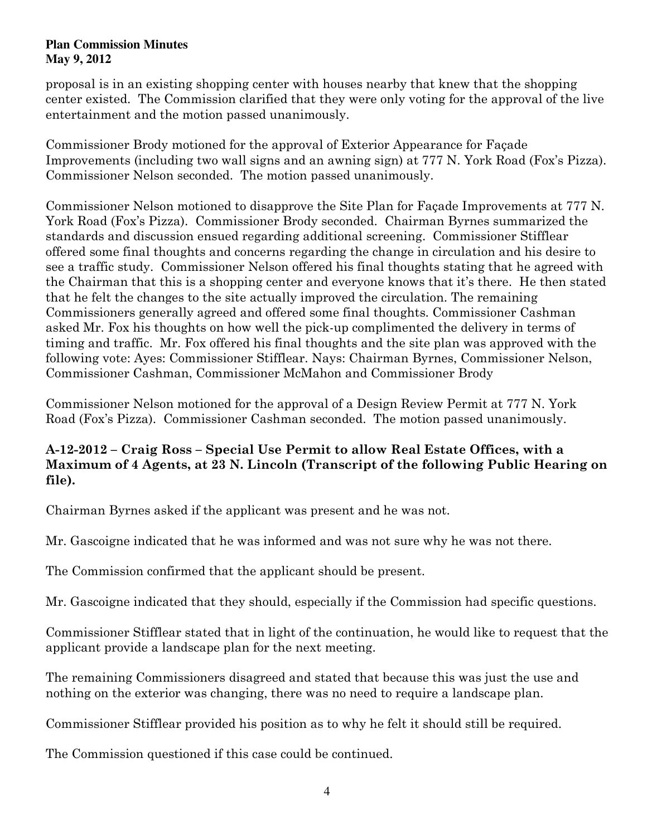proposal is in an existing shopping center with houses nearby that knew that the shopping center existed. The Commission clarified that they were only voting for the approval of the live entertainment and the motion passed unanimously.

Commissioner Brody motioned for the approval of Exterior Appearance for Façade Improvements (including two wall signs and an awning sign) at 777 N. York Road (Fox's Pizza). Commissioner Nelson seconded. The motion passed unanimously.

Commissioner Nelson motioned to disapprove the Site Plan for Façade Improvements at 777 N. York Road (Fox's Pizza). Commissioner Brody seconded. Chairman Byrnes summarized the standards and discussion ensued regarding additional screening. Commissioner Stifflear offered some final thoughts and concerns regarding the change in circulation and his desire to see a traffic study. Commissioner Nelson offered his final thoughts stating that he agreed with the Chairman that this is a shopping center and everyone knows that it's there. He then stated that he felt the changes to the site actually improved the circulation. The remaining Commissioners generally agreed and offered some final thoughts. Commissioner Cashman asked Mr. Fox his thoughts on how well the pick-up complimented the delivery in terms of timing and traffic. Mr. Fox offered his final thoughts and the site plan was approved with the following vote: Ayes: Commissioner Stifflear. Nays: Chairman Byrnes, Commissioner Nelson, Commissioner Cashman, Commissioner McMahon and Commissioner Brody

Commissioner Nelson motioned for the approval of a Design Review Permit at 777 N. York Road (Fox's Pizza). Commissioner Cashman seconded. The motion passed unanimously.

# A-12-2012 – Craig Ross – Special Use Permit to allow Real Estate Offices, with a Maximum of 4 Agents, at 23 N. Lincoln (Transcript of the following Public Hearing on file).

Chairman Byrnes asked if the applicant was present and he was not.

Mr. Gascoigne indicated that he was informed and was not sure why he was not there.

The Commission confirmed that the applicant should be present.

Mr. Gascoigne indicated that they should, especially if the Commission had specific questions.

Commissioner Stifflear stated that in light of the continuation, he would like to request that the applicant provide a landscape plan for the next meeting.

The remaining Commissioners disagreed and stated that because this was just the use and nothing on the exterior was changing, there was no need to require a landscape plan.

Commissioner Stifflear provided his position as to why he felt it should still be required.

The Commission questioned if this case could be continued.